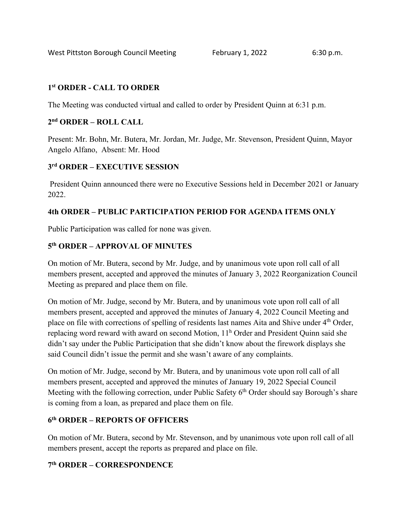### **1st ORDER - CALL TO ORDER**

The Meeting was conducted virtual and called to order by President Quinn at 6:31 p.m.

## **2nd ORDER – ROLL CALL**

Present: Mr. Bohn, Mr. Butera, Mr. Jordan, Mr. Judge, Mr. Stevenson, President Quinn, Mayor Angelo Alfano, Absent: Mr. Hood

## **3rd ORDER – EXECUTIVE SESSION**

President Quinn announced there were no Executive Sessions held in December 2021 or January 2022.

## **4th ORDER – PUBLIC PARTICIPATION PERIOD FOR AGENDA ITEMS ONLY**

Public Participation was called for none was given.

## **5th ORDER – APPROVAL OF MINUTES**

On motion of Mr. Butera, second by Mr. Judge, and by unanimous vote upon roll call of all members present, accepted and approved the minutes of January 3, 2022 Reorganization Council Meeting as prepared and place them on file.

On motion of Mr. Judge, second by Mr. Butera, and by unanimous vote upon roll call of all members present, accepted and approved the minutes of January 4, 2022 Council Meeting and place on file with corrections of spelling of residents last names Aita and Shive under 4<sup>th</sup> Order, replacing word reward with award on second Motion, 11<sup>h</sup> Order and President Quinn said she didn't say under the Public Participation that she didn't know about the firework displays she said Council didn't issue the permit and she wasn't aware of any complaints.

On motion of Mr. Judge, second by Mr. Butera, and by unanimous vote upon roll call of all members present, accepted and approved the minutes of January 19, 2022 Special Council Meeting with the following correction, under Public Safety  $6<sup>th</sup>$  Order should say Borough's share is coming from a loan, as prepared and place them on file.

## **6th ORDER – REPORTS OF OFFICERS**

On motion of Mr. Butera, second by Mr. Stevenson, and by unanimous vote upon roll call of all members present, accept the reports as prepared and place on file.

## **7th ORDER – CORRESPONDENCE**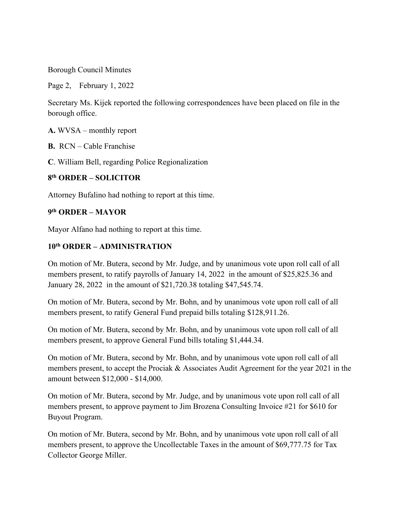Borough Council Minutes

Page 2, February 1, 2022

Secretary Ms. Kijek reported the following correspondences have been placed on file in the borough office.

**A.** WVSA – monthly report

**B.** RCN – Cable Franchise

**C**. William Bell, regarding Police Regionalization

## **8th ORDER – SOLICITOR**

Attorney Bufalino had nothing to report at this time.

#### **9th ORDER – MAYOR**

Mayor Alfano had nothing to report at this time.

## **10th ORDER – ADMINISTRATION**

On motion of Mr. Butera, second by Mr. Judge, and by unanimous vote upon roll call of all members present, to ratify payrolls of January 14, 2022 in the amount of \$25,825.36 and January 28, 2022 in the amount of \$21,720.38 totaling \$47,545.74.

On motion of Mr. Butera, second by Mr. Bohn, and by unanimous vote upon roll call of all members present, to ratify General Fund prepaid bills totaling \$128,911.26.

On motion of Mr. Butera, second by Mr. Bohn, and by unanimous vote upon roll call of all members present, to approve General Fund bills totaling \$1,444.34.

On motion of Mr. Butera, second by Mr. Bohn, and by unanimous vote upon roll call of all members present, to accept the Prociak & Associates Audit Agreement for the year 2021 in the amount between \$12,000 - \$14,000.

On motion of Mr. Butera, second by Mr. Judge, and by unanimous vote upon roll call of all members present, to approve payment to Jim Brozena Consulting Invoice #21 for \$610 for Buyout Program.

On motion of Mr. Butera, second by Mr. Bohn, and by unanimous vote upon roll call of all members present, to approve the Uncollectable Taxes in the amount of \$69,777.75 for Tax Collector George Miller.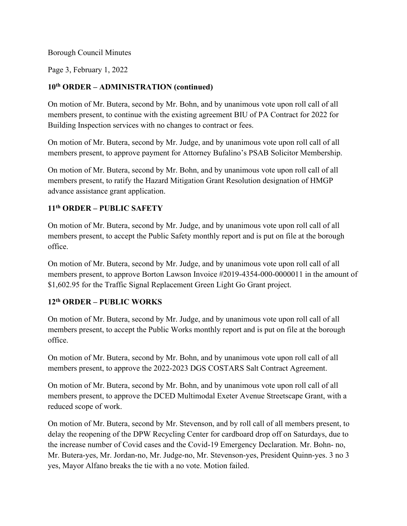#### Borough Council Minutes

Page 3, February 1, 2022

# **10th ORDER – ADMINISTRATION (continued)**

On motion of Mr. Butera, second by Mr. Bohn, and by unanimous vote upon roll call of all members present, to continue with the existing agreement BIU of PA Contract for 2022 for Building Inspection services with no changes to contract or fees.

On motion of Mr. Butera, second by Mr. Judge, and by unanimous vote upon roll call of all members present, to approve payment for Attorney Bufalino's PSAB Solicitor Membership.

On motion of Mr. Butera, second by Mr. Bohn, and by unanimous vote upon roll call of all members present, to ratify the Hazard Mitigation Grant Resolution designation of HMGP advance assistance grant application.

# **11th ORDER – PUBLIC SAFETY**

On motion of Mr. Butera, second by Mr. Judge, and by unanimous vote upon roll call of all members present, to accept the Public Safety monthly report and is put on file at the borough office.

On motion of Mr. Butera, second by Mr. Judge, and by unanimous vote upon roll call of all members present, to approve Borton Lawson Invoice #2019-4354-000-0000011 in the amount of \$1,602.95 for the Traffic Signal Replacement Green Light Go Grant project.

# **12th ORDER – PUBLIC WORKS**

On motion of Mr. Butera, second by Mr. Judge, and by unanimous vote upon roll call of all members present, to accept the Public Works monthly report and is put on file at the borough office.

On motion of Mr. Butera, second by Mr. Bohn, and by unanimous vote upon roll call of all members present, to approve the 2022-2023 DGS COSTARS Salt Contract Agreement.

On motion of Mr. Butera, second by Mr. Bohn, and by unanimous vote upon roll call of all members present, to approve the DCED Multimodal Exeter Avenue Streetscape Grant, with a reduced scope of work.

On motion of Mr. Butera, second by Mr. Stevenson, and by roll call of all members present, to delay the reopening of the DPW Recycling Center for cardboard drop off on Saturdays, due to the increase number of Covid cases and the Covid-19 Emergency Declaration. Mr. Bohn- no, Mr. Butera-yes, Mr. Jordan-no, Mr. Judge-no, Mr. Stevenson-yes, President Quinn-yes. 3 no 3 yes, Mayor Alfano breaks the tie with a no vote. Motion failed.